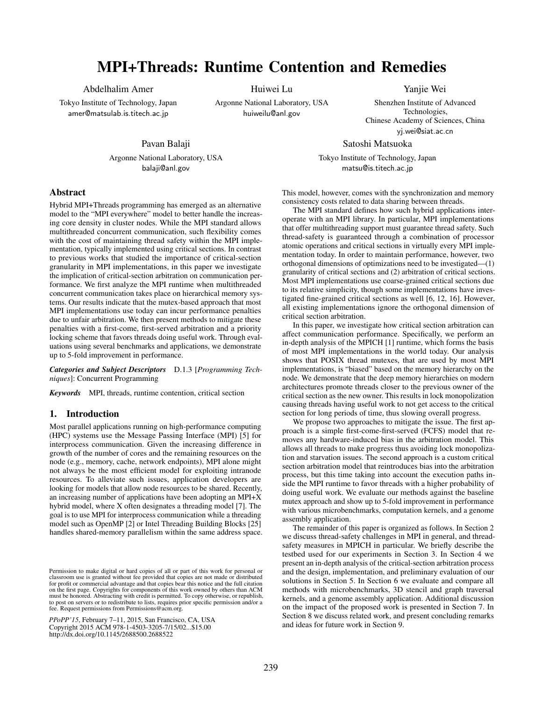# MPI+Threads: Runtime Contention and Remedies

Abdelhalim Amer

Tokyo Institute of Technology, Japan amer@matsulab.is.titech.ac.jp

> Pavan Balaji Argonne National Laboratory, USA balaji@anl.gov

Huiwei Lu

Argonne National Laboratory, USA huiweilu@anl.gov

Yanjie Wei

Shenzhen Institute of Advanced Technologies, Chinese Academy of Sciences, China yj.wei@siat.ac.cn

Satoshi Matsuoka

Tokyo Institute of Technology, Japan matsu@is.titech.ac.jp

### Abstract

Hybrid MPI+Threads programming has emerged as an alternative model to the "MPI everywhere" model to better handle the increasing core density in cluster nodes. While the MPI standard allows multithreaded concurrent communication, such flexibility comes with the cost of maintaining thread safety within the MPI implementation, typically implemented using critical sections. In contrast to previous works that studied the importance of critical-section granularity in MPI implementations, in this paper we investigate the implication of critical-section arbitration on communication performance. We first analyze the MPI runtime when multithreaded concurrent communication takes place on hierarchical memory systems. Our results indicate that the mutex-based approach that most MPI implementations use today can incur performance penalties due to unfair arbitration. We then present methods to mitigate these penalties with a first-come, first-served arbitration and a priority locking scheme that favors threads doing useful work. Through evaluations using several benchmarks and applications, we demonstrate up to 5-fold improvement in performance.

*Categories and Subject Descriptors* D.1.3 [*Programming Techniques*]: Concurrent Programming

*Keywords* MPI, threads, runtime contention, critical section

## 1. Introduction

Most parallel applications running on high-performance computing (HPC) systems use the Message Passing Interface (MPI) [5] for interprocess communication. Given the increasing difference in growth of the number of cores and the remaining resources on the node (e.g., memory, cache, network endpoints), MPI alone might not always be the most efficient model for exploiting intranode resources. To alleviate such issues, application developers are looking for models that allow node resources to be shared. Recently, an increasing number of applications have been adopting an MPI+X hybrid model, where X often designates a threading model [7]. The goal is to use MPI for interprocess communication while a threading model such as OpenMP [2] or Intel Threading Building Blocks [25] handles shared-memory parallelism within the same address space.

PPoPP'15, February 7–11, 2015, San Francisco, CA, USA. *PPoPP'15*, February 7–11, 2015, San Francisco, CA, USA PPoPP T5, February 7–11, 2015, San Francisco, CA, US.<br>Copyright 2015 ACM 978-1-4503-3205-7/15/02...\$15.00 http://dx.doi.org/10.1145/2688500.2688522

This model, however, comes with the synchronization and memory consistency costs related to data sharing between threads.

The MPI standard defines how such hybrid applications interoperate with an MPI library. In particular, MPI implementations that offer multithreading support must guarantee thread safety. Such thread-safety is guaranteed through a combination of processor atomic operations and critical sections in virtually every MPI implementation today. In order to maintain performance, however, two orthogonal dimensions of optimizations need to be investigated—(1) granularity of critical sections and (2) arbitration of critical sections. Most MPI implementations use coarse-grained critical sections due to its relative simplicity, though some implementations have investigated fine-grained critical sections as well [6, 12, 16]. However, all existing implementations ignore the orthogonal dimension of critical section arbitration.

In this paper, we investigate how critical section arbitration can affect communication performance. Specifically, we perform an in-depth analysis of the MPICH [1] runtime, which forms the basis of most MPI implementations in the world today. Our analysis shows that POSIX thread mutexes, that are used by most MPI implementations, is "biased" based on the memory hierarchy on the node. We demonstrate that the deep memory hierarchies on modern architectures promote threads closer to the previous owner of the critical section as the new owner. This results in lock monopolization causing threads having useful work to not get access to the critical section for long periods of time, thus slowing overall progress.

We propose two approaches to mitigate the issue. The first approach is a simple first-come-first-served (FCFS) model that removes any hardware-induced bias in the arbitration model. This allows all threads to make progress thus avoiding lock monopolization and starvation issues. The second approach is a custom critical section arbitration model that reintroduces bias into the arbitration process, but this time taking into account the execution paths inside the MPI runtime to favor threads with a higher probability of doing useful work. We evaluate our methods against the baseline mutex approach and show up to 5-fold improvement in performance with various microbenchmarks, computation kernels, and a genome assembly application.

The remainder of this paper is organized as follows. In Section 2 we discuss thread-safety challenges in MPI in general, and threadsafety measures in MPICH in particular. We briefly describe the testbed used for our experiments in Section 3. In Section 4 we present an in-depth analysis of the critical-section arbitration process and the design, implementation, and preliminary evaluation of our solutions in Section 5. In Section 6 we evaluate and compare all methods with microbenchmarks, 3D stencil and graph traversal kernels, and a genome assembly application. Additional discussion on the impact of the proposed work is presented in Section 7. In Section 8 we discuss related work, and present concluding remarks and ideas for future work in Section 9.

Permission to make digital or hard copies of all or part of this work for personal or classroom use is granted without fee provided that copies are not made or distributed for profit or commercial advantage and that copies bear this notice and the full citation on the first page. Copyrights for components of this work owned by others than ACM<br>must be honored. Abstracting with credit is permitted. To copy otherwise, or republish to post on servers or to redistribute to lists, requires prior specific permission and/or a<br>fee. Bequest permissions from Bermissions@eem.org. on the first page. Copyrights for components of this work owned by others than ACM must be honored. Abstracting with credit is permitted. To copy otherwise, or republish, fee. Request permissions from Permissions@acm.org.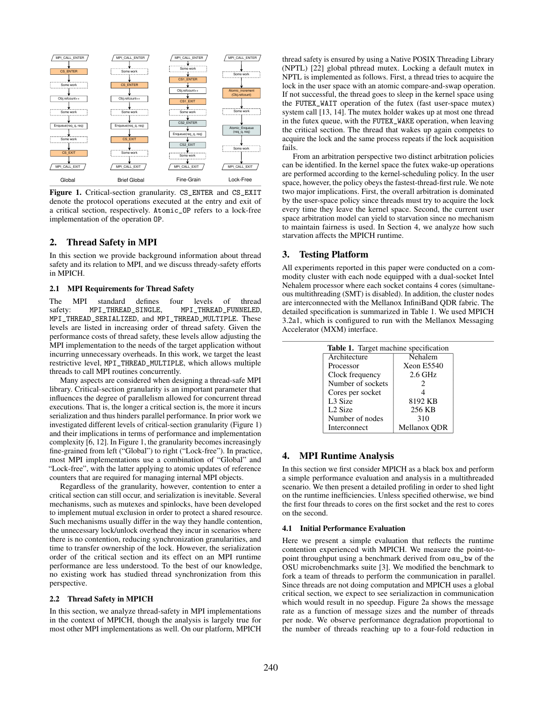

Figure 1. Critical-section granularity. CS\_ENTER and CS\_EXIT denote the protocol operations executed at the entry and exit of a critical section, respectively. Atomic\_OP refers to a lock-free implementation of the operation OP.

### 2. Thread Safety in MPI

In this section we provide background information about thread safety and its relation to MPI, and we discuss thready-safety efforts in MPICH.

### 2.1 MPI Requirements for Thread Safety

The MPI standard defines four levels of thread safety: MPI\_THREAD\_SINGLE, MPI\_THREAD\_FUNNELED, MPI\_THREAD\_SERIALIZED, and MPI\_THREAD\_MULTIPLE. These levels are listed in increasing order of thread safety. Given the performance costs of thread safety, these levels allow adjusting the MPI implementation to the needs of the target application without incurring unnecessary overheads. In this work, we target the least restrictive level, MPI\_THREAD\_MULTIPLE, which allows multiple threads to call MPI routines concurrently.

Many aspects are considered when designing a thread-safe MPI library. Critical-section granularity is an important parameter that influences the degree of parallelism allowed for concurrent thread executions. That is, the longer a critical section is, the more it incurs serialization and thus hinders parallel performance. In prior work we investigated different levels of critical-section granularity (Figure 1) and their implications in terms of performance and implementation complexity [6, 12]. In Figure 1, the granularity becomes increasingly fine-grained from left ("Global") to right ("Lock-free"). In practice, most MPI implementations use a combination of "Global" and "Lock-free", with the latter applying to atomic updates of reference counters that are required for managing internal MPI objects.

Regardless of the granularity, however, contention to enter a critical section can still occur, and serialization is inevitable. Several mechanisms, such as mutexes and spinlocks, have been developed to implement mutual exclusion in order to protect a shared resource. Such mechanisms usually differ in the way they handle contention, the unnecessary lock/unlock overhead they incur in scenarios where there is no contention, reducing synchronization granularities, and time to transfer ownership of the lock. However, the serialization order of the critical section and its effect on an MPI runtime performance are less understood. To the best of our knowledge, no existing work has studied thread synchronization from this perspective.

#### 2.2 Thread Safety in MPICH

In this section, we analyze thread-safety in MPI implementations in the context of MPICH, though the analysis is largely true for most other MPI implementations as well. On our platform, MPICH thread safety is ensured by using a Native POSIX Threading Library (NPTL) [22] global pthread mutex. Locking a default mutex in NPTL is implemented as follows. First, a thread tries to acquire the lock in the user space with an atomic compare-and-swap operation. If not successful, the thread goes to sleep in the kernel space using the FUTEX\_WAIT operation of the futex (fast user-space mutex) system call [13, 14]. The mutex holder wakes up at most one thread in the futex queue, with the FUTEX\_WAKE operation, when leaving the critical section. The thread that wakes up again competes to acquire the lock and the same process repeats if the lock acquisition fails.

From an arbitration perspective two distinct arbitration policies can be identified. In the kernel space the futex wake-up operations are performed according to the kernel-scheduling policy. In the user space, however, the policy obeys the fastest-thread-first rule. We note two major implications. First, the overall arbitration is dominated by the user-space policy since threads must try to acquire the lock every time they leave the kernel space. Second, the current user space arbitration model can yield to starvation since no mechanism to maintain fairness is used. In Section 4, we analyze how such starvation affects the MPICH runtime.

# 3. Testing Platform

All experiments reported in this paper were conducted on a commodity cluster with each node equipped with a dual-socket Intel Nehalem processor where each socket contains 4 cores (simultaneous multithreading (SMT) is disabled). In addition, the cluster nodes are interconnected with the Mellanox InfiniBand QDR fabric. The detailed specification is summarized in Table 1. We used MPICH 3.2a1, which is configured to run with the Mellanox Messaging Accelerator (MXM) interface.

| <b>Table 1.</b> Target machine specification |              |
|----------------------------------------------|--------------|
| Architecture                                 | Nehalem      |
| Processor                                    | Xeon E5540   |
| Clock frequency                              | $2.6$ GHz    |
| Number of sockets                            |              |
| Cores per socket                             |              |
| L <sub>3</sub> Size                          | 8192 KB      |
| L <sub>2</sub> Size                          | 256 KB       |
| Number of nodes                              | 310          |
| Interconnect                                 | Mellanox ODR |

### 4. MPI Runtime Analysis

In this section we first consider MPICH as a black box and perform a simple performance evaluation and analysis in a multithreaded scenario. We then present a detailed profiling in order to shed light on the runtime inefficiencies. Unless specified otherwise, we bind the first four threads to cores on the first socket and the rest to cores on the second.

### 4.1 Initial Performance Evaluation

Here we present a simple evaluation that reflects the runtime contention experienced with MPICH. We measure the point-topoint throughput using a benchmark derived from osu\_bw of the OSU microbenchmarks suite [3]. We modified the benchmark to fork a team of threads to perform the communication in parallel. Since threads are not doing computation and MPICH uses a global critical section, we expect to see serializaction in communication which would result in no speedup. Figure 2a shows the message rate as a function of message sizes and the number of threads per node. We observe performance degradation proportional to the number of threads reaching up to a four-fold reduction in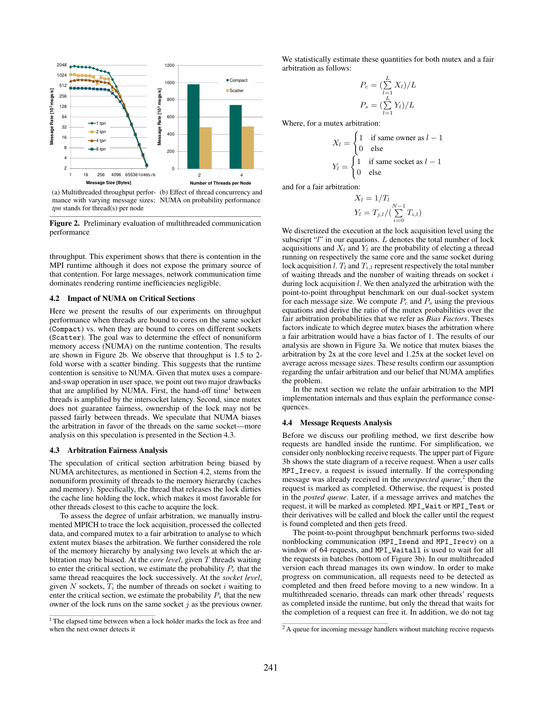

*tpn* stands for thread(s) per node

Figure 2. Preliminary evaluation of multithreaded communication performance

throughput. This experiment shows that there is contention in the MPI runtime although it does not expose the primary source of that contention. For large messages, network communication time dominates rendering runtime inefficiencies negligible.

### 4.2 Impact of NUMA on Critical Sections

Here we present the results of our experiments on throughput performance when threads are bound to cores on the same socket (Compact) vs. when they are bound to cores on different sockets (Scatter). The goal was to determine the effect of nonuniform memory access (NUMA) on the runtime contention. The results are shown in Figure 2b. We observe that throughput is 1.5 to 2 fold worse with a scatter binding. This suggests that the runtime contention is sensitive to NUMA. Given that mutex uses a compareand-swap operation in user space, we point out two major drawbacks that are amplified by NUMA. First, the hand-off time<sup>1</sup> between threads is amplified by the intersocket latency. Second, since mutex does not guarantee fairness, ownership of the lock may not be passed fairly between threads. We speculate that NUMA biases the arbitration in favor of the threads on the same socket—more analysis on this speculation is presented in the Section 4.3.

### 4.3 Arbitration Fairness Analysis

The speculation of critical section arbitration being biased by NUMA architectures, as mentioned in Section 4.2, stems from the nonuniform proximity of threads to the memory hierarchy (caches and memory). Specifically, the thread that releases the lock dirties the cache line holding the lock, which makes it most favorable for other threads closest to this cache to acquire the lock.

To assess the degree of unfair arbitration, we manually instrumented MPICH to trace the lock acquisition, processed the collected data, and compared mutex to a fair arbitration to analyse to which extent mutex biases the arbitration. We further considered the role of the memory hierarchy by analysing two levels at which the arbitration may be biased. At the *core level*, given T threads waiting to enter the critical section, we estimate the probability  $P_c$  that the same thread reacquires the lock successively. At the *socket level*, given N sockets,  $T_i$  the number of threads on socket i waiting to enter the critical section, we estimate the probability  $P_s$  that the new owner of the lock runs on the same socket  $j$  as the previous owner. We statistically estimate these quantities for both mutex and a fair arbitration as follows:

$$
P_c = \left(\sum_{l=1}^{L} X_l\right) / L
$$
  

$$
P_s = \left(\sum_{l=1}^{L} Y_l\right) / L
$$

Where, for a mutex arbitration:

$$
X_l = \begin{cases} 1 & \text{if same owner as } l - 1 \\ 0 & \text{else} \end{cases}
$$

$$
Y_l = \begin{cases} 1 & \text{if same socket as } l - 1 \\ 0 & \text{else} \end{cases}
$$

and for a fair arbitration:

$$
X_l = 1/T_l
$$
  
 
$$
Y_l = T_{j,l}/(\sum_{i=0}^{N-1} T_{i,l})
$$

We discretized the execution at the lock acquisition level using the subscript " $l$ " in our equations. L denotes the total number of lock acquisitions and  $X_l$  and  $Y_l$  are the probability of electing a thread running on respectively the same core and the same socket during lock acquisition l.  $T_l$  and  $T_{i,l}$  represent respectively the total number of waiting threads and the number of waiting threads on socket i during lock acquisition  $l$ . We then analyzed the arbitration with the point-to-point throughput benchmark on our dual-socket system for each message size. We compute  $P_c$  and  $P_s$  using the previous equations and derive the ratio of the mutex probabilities over the fair arbitration probabilities that we refer as *Bias Factors*. Theses factors indicate to which degree mutex biases the arbitration where a fair arbitration would have a bias factor of 1. The results of our analysis are shown in Figure 3a. We notice that mutex biases the arbitration by 2x at the core level and 1.25x at the socket level on average across message sizes. These results confirm our assumption regarding the unfair arbitration and our belief that NUMA amplifies the problem.

In the next section we relate the unfair arbitration to the MPI implementation internals and thus explain the performance consequences.

### 4.4 Message Requests Analysis

Before we discuss our profiling method, we first describe how requests are handled inside the runtime. For simplification, we consider only nonblocking receive requests. The upper part of Figure 3b shows the state diagram of a receive request. When a user calls MPI\_Irecv, a request is issued internally. If the corresponding message was already received in the *unexpected queue,*<sup>2</sup> then the request is marked as completed. Otherwise, the request is posted in the *posted queue*. Later, if a message arrives and matches the request, it will be marked as completed. MPI\_Wait or MPI\_Test or their derivatives will be called and block the caller until the request is found completed and then gets freed.

The point-to-point throughput benchmark performs two-sided nonblocking communication (MPI\_Isend and MPI\_Irecv) on a window of 64 requests, and MPI\_Waitall is used to wait for all the requests in batches (bottom of Figure 3b). In our multithreaded version each thread manages its own window. In order to make progress on communication, all requests need to be detected as completed and then freed before moving to a new window. In a multithreaded scenario, threads can mark other threads' requests as completed inside the runtime, but only the thread that waits for the completion of a request can free it. In addition, we do not tag

<sup>&</sup>lt;sup>1</sup> The elapsed time between when a lock holder marks the lock as free and when the next owner detects it

<sup>&</sup>lt;sup>2</sup> A queue for incoming message handlers without matching receive requests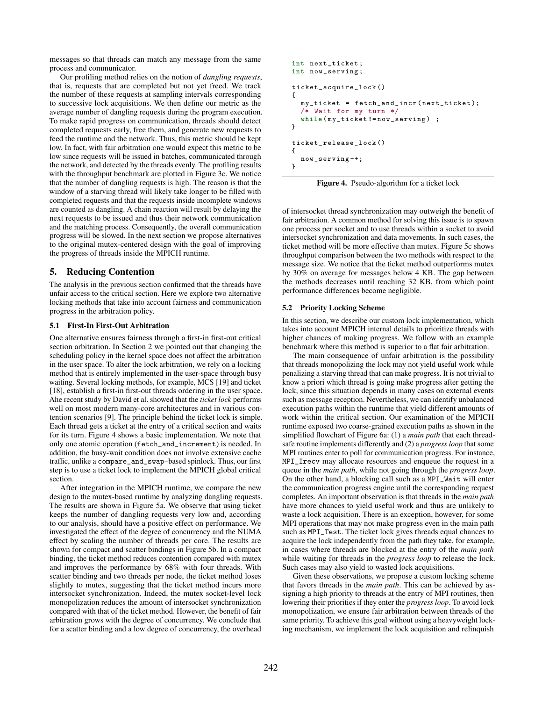messages so that threads can match any message from the same process and communicator.

Our profiling method relies on the notion of *dangling requests*, that is, requests that are completed but not yet freed. We track the number of these requests at sampling intervals corresponding to successive lock acquisitions. We then define our metric as the average number of dangling requests during the program execution. To make rapid progress on communication, threads should detect completed requests early, free them, and generate new requests to feed the runtime and the network. Thus, this metric should be kept low. In fact, with fair arbitration one would expect this metric to be low since requests will be issued in batches, communicated through the network, and detected by the threads evenly. The profiling results with the throughput benchmark are plotted in Figure 3c. We notice that the number of dangling requests is high. The reason is that the window of a starving thread will likely take longer to be filled with completed requests and that the requests inside incomplete windows are counted as dangling. A chain reaction will result by delaying the next requests to be issued and thus their network communication and the matching process. Consequently, the overall communication progress will be slowed. In the next section we propose alternatives to the original mutex-centered design with the goal of improving the progress of threads inside the MPICH runtime.

# 5. Reducing Contention

The analysis in the previous section confirmed that the threads have unfair access to the critical section. Here we explore two alternative locking methods that take into account fairness and communication progress in the arbitration policy.

### 5.1 First-In First-Out Arbitration

One alternative ensures fairness through a first-in first-out critical section arbitration. In Section 2 we pointed out that changing the scheduling policy in the kernel space does not affect the arbitration in the user space. To alter the lock arbitration, we rely on a locking method that is entirely implemented in the user-space through busy waiting. Several locking methods, for example, MCS [19] and ticket [18], establish a first-in first-out threads ordering in the user space. Ahe recent study by David et al. showed that the *ticket lock* performs well on most modern many-core architectures and in various contention scenarios [9]. The principle behind the ticket lock is simple. Each thread gets a ticket at the entry of a critical section and waits for its turn. Figure 4 shows a basic implementation. We note that only one atomic operation (fetch\_and\_increment) is needed. In addition, the busy-wait condition does not involve extensive cache traffic, unlike a compare\_and\_swap–based spinlock. Thus, our first step is to use a ticket lock to implement the MPICH global critical section.

After integration in the MPICH runtime, we compare the new design to the mutex-based runtime by analyzing dangling requests. The results are shown in Figure 5a. We observe that using ticket keeps the number of dangling requests very low and, according to our analysis, should have a positive effect on performance. We investigated the effect of the degree of concurrency and the NUMA effect by scaling the number of threads per core. The results are shown for compact and scatter bindings in Figure 5b. In a compact binding, the ticket method reduces contention compared with mutex and improves the performance by 68% with four threads. With scatter binding and two threads per node, the ticket method loses slightly to mutex, suggesting that the ticket method incurs more intersocket synchronization. Indeed, the mutex socket-level lock monopolization reduces the amount of intersocket synchronization compared with that of the ticket method. However, the benefit of fair arbitration grows with the degree of concurrency. We conclude that for a scatter binding and a low degree of concurrency, the overhead

```
int next_ticket ;
int now_serving ;
ticket_acquire_lock ()
{
  my_ticket = fetch_and_incr ( next_ticket );
  /* Wait for my turn */
  while (my_ticket!=now_serving) ;
}
ticket_release_lock ()
{
  now_serving ++;
}
```
Figure 4. Pseudo-algorithm for a ticket lock

of intersocket thread synchronization may outweigh the benefit of fair arbitration. A common method for solving this issue is to spawn one process per socket and to use threads within a socket to avoid intersocket synchronization and data movements. In such cases, the ticket method will be more effective than mutex. Figure 5c shows throughput comparison between the two methods with respect to the message size. We notice that the ticket method outperforms mutex by 30% on average for messages below 4 KB. The gap between the methods decreases until reaching 32 KB, from which point performance differences become negligible.

### 5.2 Priority Locking Scheme

In this section, we describe our custom lock implementation, which takes into account MPICH internal details to prioritize threads with higher chances of making progress. We follow with an example benchmark where this method is superior to a flat fair arbitration.

The main consequence of unfair arbitration is the possibility that threads monopolizing the lock may not yield useful work while penalizing a starving thread that can make progress. It is not trivial to know a priori which thread is going make progress after getting the lock, since this situation depends in many cases on external events such as message reception. Nevertheless, we can identify unbalanced execution paths within the runtime that yield different amounts of work within the critical section. Our examination of the MPICH runtime exposed two coarse-grained execution paths as shown in the simplified flowchart of Figure 6a: (1) a *main path* that each threadsafe routine implements differently and (2) a *progress loop* that some MPI routines enter to poll for communication progress. For instance, MPI\_Irecv may allocate resources and enqueue the request in a queue in the *main path*, while not going through the *progress loop*. On the other hand, a blocking call such as a MPI\_Wait will enter the communication progress engine until the corresponding request completes. An important observation is that threads in the *main path* have more chances to yield useful work and thus are unlikely to waste a lock acquisition. There is an exception, however, for some MPI operations that may not make progress even in the main path such as MPI\_Test. The ticket lock gives threads equal chances to acquire the lock independently from the path they take, for example, in cases where threads are blocked at the entry of the *main path* while waiting for threads in the *progress loop* to release the lock. Such cases may also yield to wasted lock acquisitions.

Given these observations, we propose a custom locking scheme that favors threads in the *main path*. This can be achieved by assigning a high priority to threads at the entry of MPI routines, then lowering their priorities if they enter the *progress loop*. To avoid lock monopolization, we ensure fair arbitration between threads of the same priority. To achieve this goal without using a heavyweight locking mechanism, we implement the lock acquisition and relinquish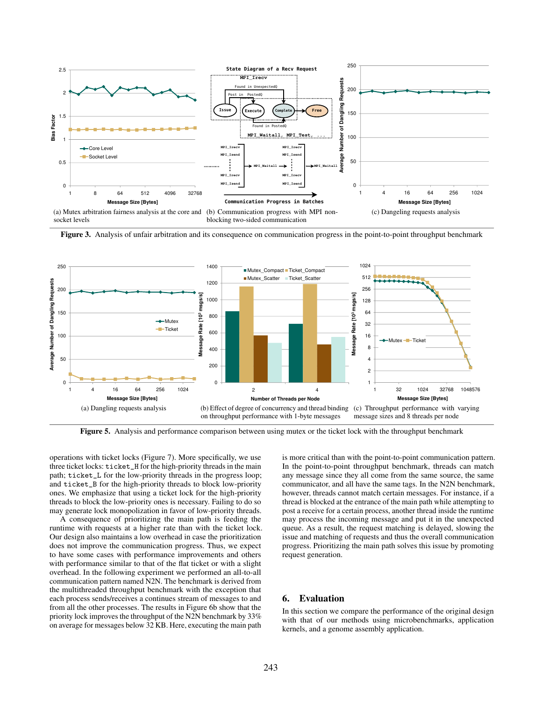

Figure 3. Analysis of unfair arbitration and its consequence on communication progress in the point-to-point throughput benchmark



Figure 5. Analysis and performance comparison between using mutex or the ticket lock with the throughput benchmark

operations with ticket locks (Figure 7). More specifically, we use three ticket locks: ticket\_H for the high-priority threads in the main path; ticket\_L for the low-priority threads in the progress loop; and ticket\_B for the high-priority threads to block low-priority ones. We emphasize that using a ticket lock for the high-priority threads to block the low-priority ones is necessary. Failing to do so may generate lock monopolization in favor of low-priority threads.

A consequence of prioritizing the main path is feeding the runtime with requests at a higher rate than with the ticket lock. Our design also maintains a low overhead in case the prioritization does not improve the communication progress. Thus, we expect to have some cases with performance improvements and others with performance similar to that of the flat ticket or with a slight overhead. In the following experiment we performed an all-to-all communication pattern named N2N. The benchmark is derived from the multithreaded throughput benchmark with the exception that each process sends/receives a continues stream of messages to and from all the other processes. The results in Figure 6b show that the priority lock improves the throughput of the N2N benchmark by 33% on average for messages below 32 KB. Here, executing the main path

is more critical than with the point-to-point communication pattern. In the point-to-point throughput benchmark, threads can match any message since they all come from the same source, the same communicator, and all have the same tags. In the N2N benchmark, however, threads cannot match certain messages. For instance, if a thread is blocked at the entrance of the main path while attempting to post a receive for a certain process, another thread inside the runtime may process the incoming message and put it in the unexpected queue. As a result, the request matching is delayed, slowing the issue and matching of requests and thus the overall communication progress. Prioritizing the main path solves this issue by promoting request generation.

# 6. Evaluation

In this section we compare the performance of the original design with that of our methods using microbenchmarks, application kernels, and a genome assembly application.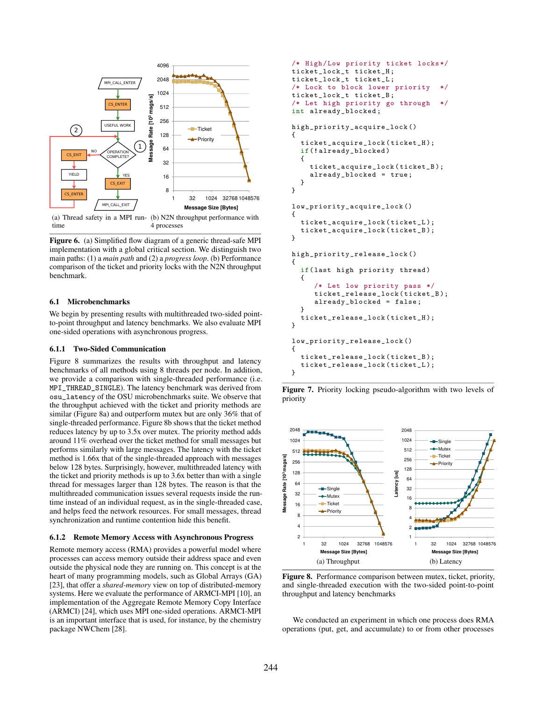

Figure 6. (a) Simplified flow diagram of a generic thread-safe MPI implementation with a global critical section. We distinguish two main paths: (1) a *main path* and (2) a *progress loop*. (b) Performance comparison of the ticket and priority locks with the N2N throughput benchmark.

### 6.1 Microbenchmarks

We begin by presenting results with multithreaded two-sided pointto-point throughput and latency benchmarks. We also evaluate MPI one-sided operations with asynchronous progress.

### 6.1.1 Two-Sided Communication

Figure 8 summarizes the results with throughput and latency benchmarks of all methods using 8 threads per node. In addition, we provide a comparison with single-threaded performance (i.e. MPI\_THREAD\_SINGLE). The latency benchmark was derived from osu\_latency of the OSU microbenchmarks suite. We observe that the throughput achieved with the ticket and priority methods are similar (Figure 8a) and outperform mutex but are only 36% that of single-threaded performance. Figure 8b shows that the ticket method reduces latency by up to 3.5x over mutex. The priority method adds around 11% overhead over the ticket method for small messages but performs similarly with large messages. The latency with the ticket method is 1.66x that of the single-threaded approach with messages below 128 bytes. Surprisingly, however, multithreaded latency with the ticket and priority methods is up to 3.6x better than with a single thread for messages larger than 128 bytes. The reason is that the multithreaded communication issues several requests inside the runtime instead of an individual request, as in the single-threaded case, and helps feed the network resources. For small messages, thread synchronization and runtime contention hide this benefit.

#### 6.1.2 Remote Memory Access with Asynchronous Progress

Remote memory access (RMA) provides a powerful model where processes can access memory outside their address space and even outside the physical node they are running on. This concept is at the heart of many programming models, such as Global Arrays (GA) [23], that offer a *shared-memory* view on top of distributed-memory systems. Here we evaluate the performance of ARMCI-MPI [10], an implementation of the Aggregate Remote Memory Copy Interface (ARMCI) [24], which uses MPI one-sided operations. ARMCI-MPI is an important interface that is used, for instance, by the chemistry package NWChem [28].

```
/* High/Low priority ticket locks*/
ticket_lock_t ticket_H ;
ticket_lock_t ticket_L ;
/* Lock to block lower priority */
ticket_lock_t ticket_B ;
/* Let high priority go through */
int already_blocked ;
high_priority_acquire_lock ()
{
  ticket_acquire_lock ( ticket_H );
  if (! already_blocked )
  {
    ticket_acquire_lock ( ticket_B );
    already_blocked = true ;
  }
}
low_priority_acquire_lock ()
{
  ticket_acquire_lock ( ticket_L );
  ticket_acquire_lock ( ticket_B );
}
high_priority_release_lock ()
{
  if( last high priority thread )
  {
     /* Let low priority pass */
     ticket_release_lock ( ticket_B );
     already_blocked = false ;
  }
  ticket_release_lock ( ticket_H );
}
low_priority_release_lock ()
{
  ticket_release_lock ( ticket_B );
  ticket_release_lock ( ticket_L );
}
```
Figure 7. Priority locking pseudo-algorithm with two levels of priority



Figure 8. Performance comparison between mutex, ticket, priority, and single-threaded execution with the two-sided point-to-point throughput and latency benchmarks

We conducted an experiment in which one process does RMA operations (put, get, and accumulate) to or from other processes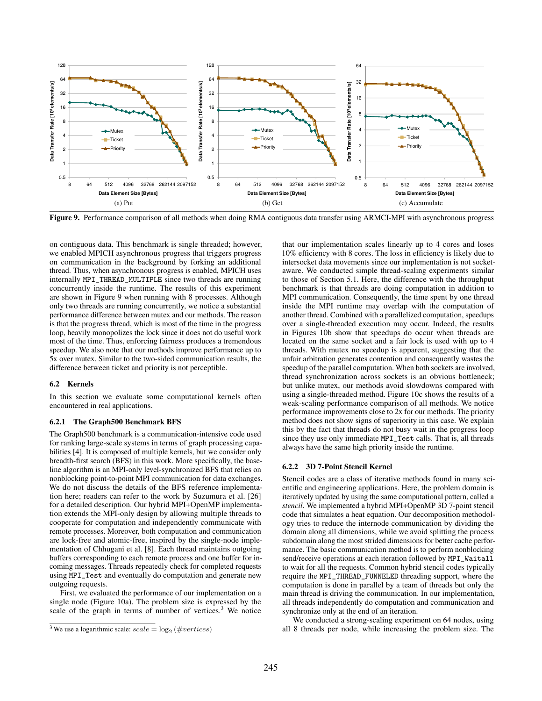

Figure 9. Performance comparison of all methods when doing RMA contiguous data transfer using ARMCI-MPI with asynchronous progress

on contiguous data. This benchmark is single threaded; however, we enabled MPICH asynchronous progress that triggers progress on communication in the background by forking an additional thread. Thus, when asynchronous progress is enabled, MPICH uses internally MPI\_THREAD\_MULTIPLE since two threads are running concurrently inside the runtime. The results of this experiment are shown in Figure 9 when running with 8 processes. Although only two threads are running concurrently, we notice a substantial performance difference between mutex and our methods. The reason is that the progress thread, which is most of the time in the progress loop, heavily monopolizes the lock since it does not do useful work most of the time. Thus, enforcing fairness produces a tremendous speedup. We also note that our methods improve performance up to 5x over mutex. Similar to the two-sided communication results, the difference between ticket and priority is not perceptible.

### 6.2 Kernels

In this section we evaluate some computational kernels often encountered in real applications.

### 6.2.1 The Graph500 Benchmark BFS

The Graph500 benchmark is a communication-intensive code used for ranking large-scale systems in terms of graph processing capabilities [4]. It is composed of multiple kernels, but we consider only breadth-first search (BFS) in this work. More specifically, the baseline algorithm is an MPI-only level-synchronized BFS that relies on nonblocking point-to-point MPI communication for data exchanges. We do not discuss the details of the BFS reference implementation here; readers can refer to the work by Suzumura et al. [26] for a detailed description. Our hybrid MPI+OpenMP implementation extends the MPI-only design by allowing multiple threads to cooperate for computation and independently communicate with remote processes. Moreover, both computation and communication are lock-free and atomic-free, inspired by the single-node implementation of Chhugani et al. [8]. Each thread maintains outgoing buffers corresponding to each remote process and one buffer for incoming messages. Threads repeatedly check for completed requests using MPI\_Test and eventually do computation and generate new outgoing requests.

First, we evaluated the performance of our implementation on a single node (Figure 10a). The problem size is expressed by the scale of the graph in terms of number of vertices.<sup>3</sup> We notice that our implementation scales linearly up to 4 cores and loses 10% efficiency with 8 cores. The loss in efficiency is likely due to intersocket data movements since our implementation is not socketaware. We conducted simple thread-scaling experiments similar to those of Section 5.1. Here, the difference with the throughput benchmark is that threads are doing computation in addition to MPI communication. Consequently, the time spent by one thread inside the MPI runtime may overlap with the computation of another thread. Combined with a parallelized computation, speedups over a single-threaded execution may occur. Indeed, the results in Figures 10b show that speedups do occur when threads are located on the same socket and a fair lock is used with up to 4 threads. With mutex no speedup is apparent, suggesting that the unfair arbitration generates contention and consequently wastes the speedup of the parallel computation. When both sockets are involved, thread synchronization across sockets is an obvious bottleneck; but unlike mutex, our methods avoid slowdowns compared with using a single-threaded method. Figure 10c shows the results of a weak-scaling performance comparison of all methods. We notice performance improvements close to 2x for our methods. The priority method does not show signs of superiority in this case. We explain this by the fact that threads do not busy wait in the progress loop since they use only immediate MPI\_Test calls. That is, all threads always have the same high priority inside the runtime.

### 6.2.2 3D 7-Point Stencil Kernel

Stencil codes are a class of iterative methods found in many scientific and engineering applications. Here, the problem domain is iteratively updated by using the same computational pattern, called a *stencil*. We implemented a hybrid MPI+OpenMP 3D 7-point stencil code that simulates a heat equation. Our decomposition methodology tries to reduce the internode communication by dividing the domain along all dimensions, while we avoid splitting the process subdomain along the most strided dimensions for better cache performance. The basic communication method is to perform nonblocking send/receive operations at each iteration followed by MPI\_Waitall to wait for all the requests. Common hybrid stencil codes typically require the MPI\_THREAD\_FUNNELED threading support, where the computation is done in parallel by a team of threads but only the main thread is driving the communication. In our implementation, all threads independently do computation and communication and synchronize only at the end of an iteration.

We conducted a strong-scaling experiment on 64 nodes, using all 8 threads per node, while increasing the problem size. The

<sup>&</sup>lt;sup>3</sup> We use a logarithmic scale:  $scale = log_2 (\#vertices)$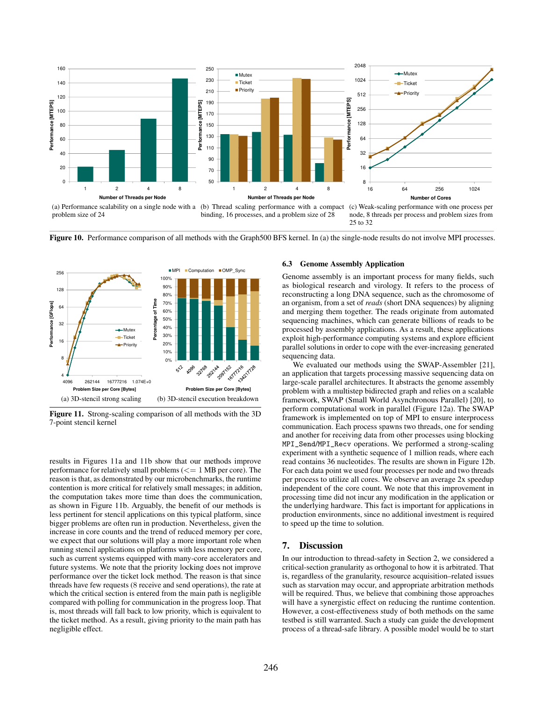



Figure 10. Performance comparison of all methods with the Graph500 BFS kernel. In (a) the single-node results do not involve MPI processes.



Figure 11. Strong-scaling comparison of all methods with the 3D 7-point stencil kernel

results in Figures 11a and 11b show that our methods improve performance for relatively small problems ( $\leq$  = 1 MB per core). The reason is that, as demonstrated by our microbenchmarks, the runtime contention is more critical for relatively small messages; in addition, the computation takes more time than does the communication, as shown in Figure 11b. Arguably, the benefit of our methods is less pertinent for stencil applications on this typical platform, since bigger problems are often run in production. Nevertheless, given the increase in core counts and the trend of reduced memory per core, we expect that our solutions will play a more important role when running stencil applications on platforms with less memory per core, such as current systems equipped with many-core accelerators and future systems. We note that the priority locking does not improve performance over the ticket lock method. The reason is that since threads have few requests (8 receive and send operations), the rate at which the critical section is entered from the main path is negligible compared with polling for communication in the progress loop. That is, most threads will fall back to low priority, which is equivalent to the ticket method. As a result, giving priority to the main path has negligible effect.

#### 6.3 Genome Assembly Application

Genome assembly is an important process for many fields, such as biological research and virology. It refers to the process of reconstructing a long DNA sequence, such as the chromosome of an organism, from a set of *reads* (short DNA sequences) by aligning and merging them together. The reads originate from automated sequencing machines, which can generate billions of reads to be processed by assembly applications. As a result, these applications exploit high-performance computing systems and explore efficient parallel solutions in order to cope with the ever-increasing generated sequencing data.

We evaluated our methods using the SWAP-Assembler [21], an application that targets processing massive sequencing data on large-scale parallel architectures. It abstracts the genome assembly problem with a multistep bidirected graph and relies on a scalable framework, SWAP (Small World Asynchronous Parallel) [20], to perform computational work in parallel (Figure 12a). The SWAP framework is implemented on top of MPI to ensure interprocess communication. Each process spawns two threads, one for sending and another for receiving data from other processes using blocking MPI\_Send/MPI\_Recv operations. We performed a strong-scaling experiment with a synthetic sequence of 1 million reads, where each read contains 36 nucleotides. The results are shown in Figure 12b. For each data point we used four processes per node and two threads per process to utilize all cores. We observe an average 2x speedup independent of the core count. We note that this improvement in processing time did not incur any modification in the application or the underlying hardware. This fact is important for applications in production environments, since no additional investment is required to speed up the time to solution.

## 7. Discussion

In our introduction to thread-safety in Section 2, we considered a critical-section granularity as orthogonal to how it is arbitrated. That is, regardless of the granularity, resource acquisition–related issues such as starvation may occur, and appropriate arbitration methods will be required. Thus, we believe that combining those approaches will have a synergistic effect on reducing the runtime contention. However, a cost-effectiveness study of both methods on the same testbed is still warranted. Such a study can guide the development process of a thread-safe library. A possible model would be to start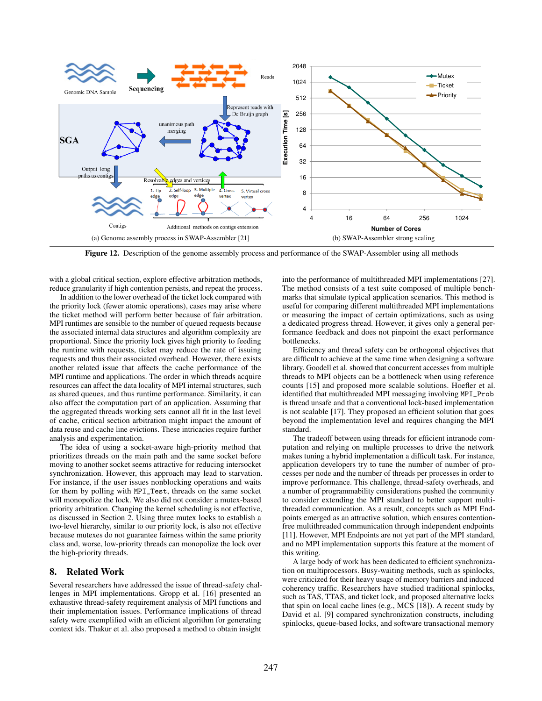

Figure 12. Description of the genome assembly process and performance of the SWAP-Assembler using all methods

with a global critical section, explore effective arbitration methods, reduce granularity if high contention persists, and repeat the process.

In addition to the lower overhead of the ticket lock compared with the priority lock (fewer atomic operations), cases may arise where the ticket method will perform better because of fair arbitration. MPI runtimes are sensible to the number of queued requests because the associated internal data structures and algorithm complexity are proportional. Since the priority lock gives high priority to feeding the runtime with requests, ticket may reduce the rate of issuing requests and thus their associated overhead. However, there exists another related issue that affects the cache performance of the MPI runtime and applications. The order in which threads acquire resources can affect the data locality of MPI internal structures, such as shared queues, and thus runtime performance. Similarity, it can also affect the computation part of an application. Assuming that the aggregated threads working sets cannot all fit in the last level of cache, critical section arbitration might impact the amount of data reuse and cache line evictions. These intricacies require further analysis and experimentation.

The idea of using a socket-aware high-priority method that prioritizes threads on the main path and the same socket before moving to another socket seems attractive for reducing intersocket synchronization. However, this approach may lead to starvation. For instance, if the user issues nonblocking operations and waits for them by polling with MPI\_Test, threads on the same socket will monopolize the lock. We also did not consider a mutex-based priority arbitration. Changing the kernel scheduling is not effective, as discussed in Section 2. Using three mutex locks to establish a two-level hierarchy, similar to our priority lock, is also not effective because mutexes do not guarantee fairness within the same priority class and, worse, low-priority threads can monopolize the lock over the high-priority threads.

# 8. Related Work

Several researchers have addressed the issue of thread-safety challenges in MPI implementations. Gropp et al. [16] presented an exhaustive thread-safety requirement analysis of MPI functions and their implementation issues. Performance implications of thread safety were exemplified with an efficient algorithm for generating context ids. Thakur et al. also proposed a method to obtain insight

into the performance of multithreaded MPI implementations [27]. The method consists of a test suite composed of multiple benchmarks that simulate typical application scenarios. This method is useful for comparing different multithreaded MPI implementations or measuring the impact of certain optimizations, such as using a dedicated progress thread. However, it gives only a general performance feedback and does not pinpoint the exact performance bottlenecks.

Efficiency and thread safety can be orthogonal objectives that are difficult to achieve at the same time when designing a software library. Goodell et al. showed that concurrent accesses from multiple threads to MPI objects can be a bottleneck when using reference counts [15] and proposed more scalable solutions. Hoefler et al. identified that multithreaded MPI messaging involving MPI\_Prob is thread unsafe and that a conventional lock-based implementation is not scalable [17]. They proposed an efficient solution that goes beyond the implementation level and requires changing the MPI standard.

The tradeoff between using threads for efficient intranode computation and relying on multiple processes to drive the network makes tuning a hybrid implementation a difficult task. For instance, application developers try to tune the number of number of processes per node and the number of threads per processes in order to improve performance. This challenge, thread-safety overheads, and a number of programmability considerations pushed the community to consider extending the MPI standard to better support multithreaded communication. As a result, concepts such as MPI Endpoints emerged as an attractive solution, which ensures contentionfree multithreaded communication through independent endpoints [11]. However, MPI Endpoints are not yet part of the MPI standard, and no MPI implementation supports this feature at the moment of this writing.

A large body of work has been dedicated to efficient synchronization on multiprocessors. Busy-waiting methods, such as spinlocks, were criticized for their heavy usage of memory barriers and induced coherency traffic. Researchers have studied traditional spinlocks, such as TAS, TTAS, and ticket lock, and proposed alternative locks that spin on local cache lines (e.g., MCS [18]). A recent study by David et al. [9] compared synchronization constructs, including spinlocks, queue-based locks, and software transactional memory